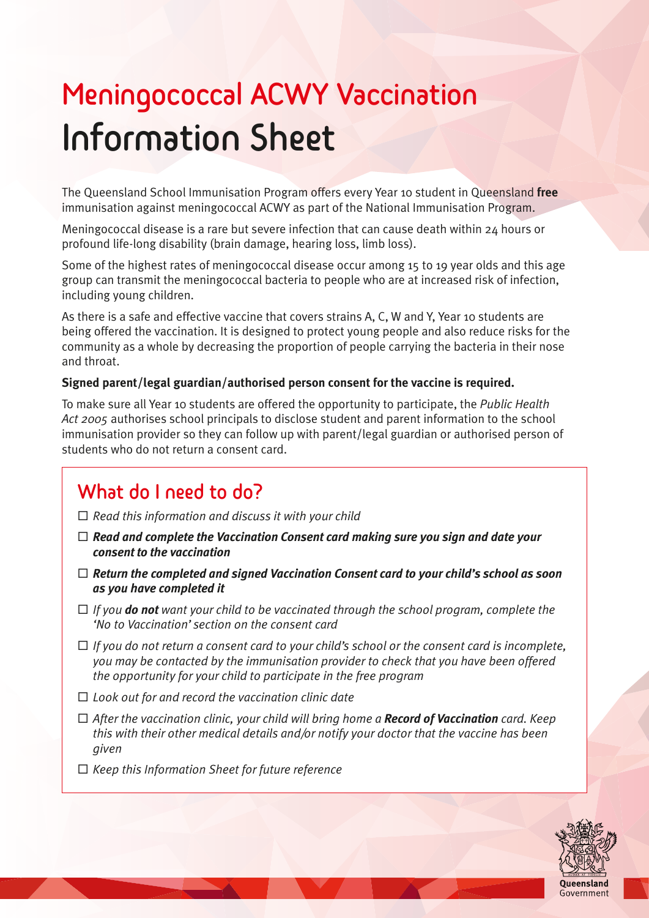# **Meningococcal ACWY Vaccination Information Sheet**

The Queensland School Immunisation Program offers every Year 10 student in Queensland **free** immunisation against meningococcal ACWY as part of the National Immunisation Program.

Meningococcal disease is a rare but severe infection that can cause death within 24 hours or profound life-long disability (brain damage, hearing loss, limb loss).

Some of the highest rates of meningococcal disease occur among 15 to 19 year olds and this age group can transmit the meningococcal bacteria to people who are at increased risk of infection, including young children.

As there is a safe and effective vaccine that covers strains A, C, W and Y, Year 10 students are being offered the vaccination. It is designed to protect young people and also reduce risks for the community as a whole by decreasing the proportion of people carrying the bacteria in their nose and throat.

# **Signed parent/legal guardian/authorised person consent for the vaccine is required.**

To make sure all Year 10 students are offered the opportunity to participate, the *Public Health Act 2005* authorises school principals to disclose student and parent information to the school immunisation provider so they can follow up with parent/legal guardian or authorised person of students who do not return a consent card.

# **What do I need to do?**

- □ Read this information and discuss it with your child
- $\Box$  Read and complete the Vaccination Consent card making sure you sign and date your *consent to the vaccination*
- □ Return the completed and signed Vaccination Consent card to your child's school as soon *as you have completed it*
- $\Box$  *If you do not want your child to be vaccinated through the school program, complete the 'No to Vaccination' section on the consent card*
- □ If you do not return a consent card to your child's school or the consent card is incomplete, *you may be contacted by the immunisation provider to check that you have been offered the opportunity for your child to participate in the free program*
- □ Look out for and record the vaccination clinic date
- ¨ *After the vaccination clinic, your child will bring home a Record of Vaccination card. Keep this with their other medical details and/or notify your doctor that the vaccine has been given*
- □ *Keep this Information Sheet for future reference*

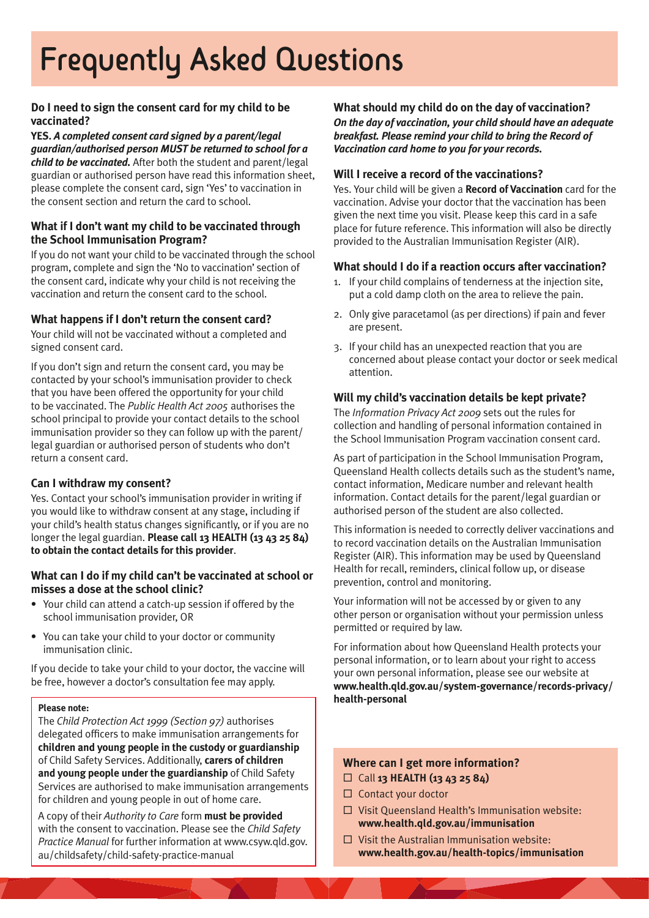# **Frequently Asked Questions**

# **Do I need to sign the consent card for my child to be vaccinated?**

**YES.** *A completed consent card signed by a parent/legal guardian/authorised person MUST be returned to school for a child to be vaccinated.* After both the student and parent/legal guardian or authorised person have read this information sheet, please complete the consent card, sign 'Yes' to vaccination in the consent section and return the card to school.

### **What if I don't want my child to be vaccinated through the School Immunisation Program?**

If you do not want your child to be vaccinated through the school program, complete and sign the 'No to vaccination' section of the consent card, indicate why your child is not receiving the vaccination and return the consent card to the school.

### **What happens if I don't return the consent card?**

Your child will not be vaccinated without a completed and signed consent card.

If you don't sign and return the consent card, you may be contacted by your school's immunisation provider to check that you have been offered the opportunity for your child to be vaccinated. The *Public Health Act 2005* authorises the school principal to provide your contact details to the school immunisation provider so they can follow up with the parent/ legal guardian or authorised person of students who don't return a consent card.

### **Can I withdraw my consent?**

Yes. Contact your school's immunisation provider in writing if you would like to withdraw consent at any stage, including if your child's health status changes significantly, or if you are no longer the legal guardian. **Please call 13 HEALTH (13 43 25 84) to obtain the contact details for this provider**.

#### **What can I do if my child can't be vaccinated at school or misses a dose at the school clinic?**

- Your child can attend a catch-up session if offered by the school immunisation provider, OR
- You can take your child to your doctor or community immunisation clinic.

If you decide to take your child to your doctor, the vaccine will be free, however a doctor's consultation fee may apply.

#### **Please note:**

The *Child Protection Act 1999 (Section 97)* authorises delegated officers to make immunisation arrangements for **children and young people in the custody or guardianship** of Child Safety Services. Additionally, **carers of children and young people under the guardianship** of Child Safety Services are authorised to make immunisation arrangements for children and young people in out of home care.

A copy of their *Authority to Care* form **must be provided** with the consent to vaccination. Please see the *Child Safety Practice Manual* for further information at [www.csyw.qld.gov.](http://www.csyw.qld.gov.au/childsafety/child-safety-practice-manual) [au/childsafety/child-safety-practice-manual](http://www.csyw.qld.gov.au/childsafety/child-safety-practice-manual)

#### **What should my child do on the day of vaccination?** *On the day of vaccination, your child should have an adequate breakfast. Please remind your child to bring the Record of Vaccination card home to you for your records.*

#### **Will I receive a record of the vaccinations?**

Yes. Your child will be given a **Record of Vaccination** card for the vaccination. Advise your doctor that the vaccination has been given the next time you visit. Please keep this card in a safe place for future reference. This information will also be directly provided to the Australian Immunisation Register (AIR).

#### **What should I do if a reaction occurs after vaccination?**

- 1. If your child complains of tenderness at the injection site, put a cold damp cloth on the area to relieve the pain.
- 2. Only give paracetamol (as per directions) if pain and fever are present.
- 3. If your child has an unexpected reaction that you are concerned about please contact your doctor or seek medical attention.

#### **Will my child's vaccination details be kept private?**

The *Information Privacy Act 2009* sets out the rules for collection and handling of personal information contained in the School Immunisation Program vaccination consent card.

As part of participation in the School Immunisation Program, Queensland Health collects details such as the student's name, contact information, Medicare number and relevant health information. Contact details for the parent/legal guardian or authorised person of the student are also collected.

This information is needed to correctly deliver vaccinations and to record vaccination details on the Australian Immunisation Register (AIR). This information may be used by Queensland Health for recall, reminders, clinical follow up, or disease prevention, control and monitoring.

Your information will not be accessed by or given to any other person or organisation without your permission unless permitted or required by law.

For information about how Queensland Health protects your personal information, or to learn about your right to access your own personal information, please see our website at **[www.health.qld.gov.au/system-governance/records-privacy/](http://www.health.qld.gov.au/system-governance/records-privacy/health-personal) [health-personal](http://www.health.qld.gov.au/system-governance/records-privacy/health-personal)**

### **Where can I get more information?** ¨ Call **13 HEALTH (13 43 25 84)**

- $\square$  Contact your doctor
- $\square$  Visit Queensland Health's Immunisation website: **[www.health.qld.gov.au/immunisation](http://www.health.qld.gov.au/immunisation)**
- $\square$  Visit the Australian Immunisation website: **[www.health.gov.au/health-topics/immunisation](http://www.health.gov.au/health-topics/immunisation)**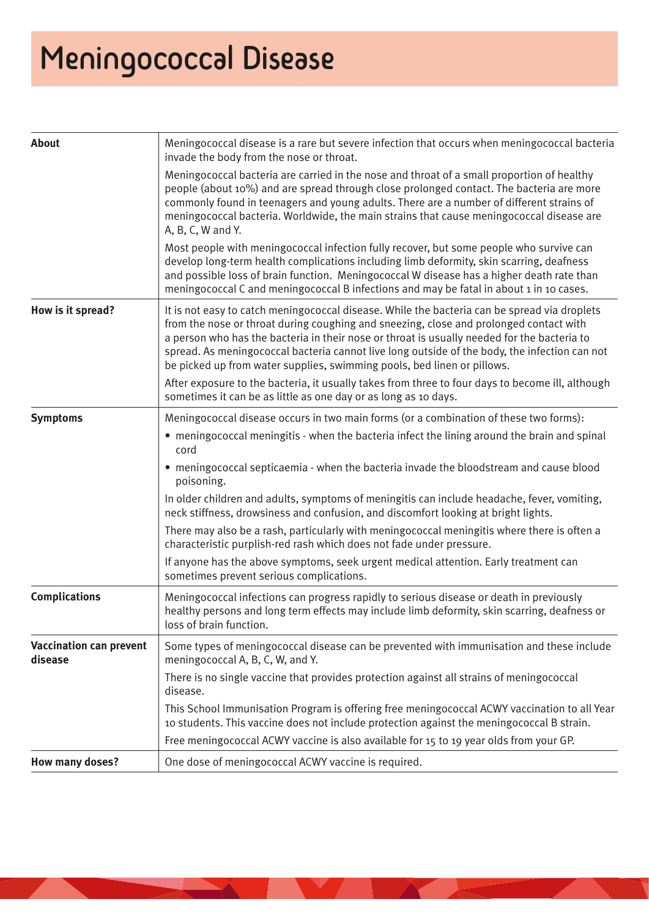# **Meningococcal Disease**

| <b>About</b>                              | Meningococcal disease is a rare but severe infection that occurs when meningococcal bacteria<br>invade the body from the nose or throat.                                                                                                                                                                                                                                                                                                                          |
|-------------------------------------------|-------------------------------------------------------------------------------------------------------------------------------------------------------------------------------------------------------------------------------------------------------------------------------------------------------------------------------------------------------------------------------------------------------------------------------------------------------------------|
|                                           | Meningococcal bacteria are carried in the nose and throat of a small proportion of healthy<br>people (about 10%) and are spread through close prolonged contact. The bacteria are more<br>commonly found in teenagers and young adults. There are a number of different strains of<br>meningococcal bacteria. Worldwide, the main strains that cause meningococcal disease are<br>A, B, C, W and Y.                                                               |
|                                           | Most people with meningococcal infection fully recover, but some people who survive can<br>develop long-term health complications including limb deformity, skin scarring, deafness<br>and possible loss of brain function. Meningococcal W disease has a higher death rate than<br>meningococcal C and meningococcal B infections and may be fatal in about 1 in 10 cases.                                                                                       |
| How is it spread?                         | It is not easy to catch meningococcal disease. While the bacteria can be spread via droplets<br>from the nose or throat during coughing and sneezing, close and prolonged contact with<br>a person who has the bacteria in their nose or throat is usually needed for the bacteria to<br>spread. As meningococcal bacteria cannot live long outside of the body, the infection can not<br>be picked up from water supplies, swimming pools, bed linen or pillows. |
|                                           | After exposure to the bacteria, it usually takes from three to four days to become ill, although<br>sometimes it can be as little as one day or as long as 10 days.                                                                                                                                                                                                                                                                                               |
| <b>Symptoms</b>                           | Meningococcal disease occurs in two main forms (or a combination of these two forms):                                                                                                                                                                                                                                                                                                                                                                             |
|                                           | • meningococcal meningitis - when the bacteria infect the lining around the brain and spinal<br>cord                                                                                                                                                                                                                                                                                                                                                              |
|                                           | • meningococcal septicaemia - when the bacteria invade the bloodstream and cause blood<br>poisoning.                                                                                                                                                                                                                                                                                                                                                              |
|                                           | In older children and adults, symptoms of meningitis can include headache, fever, vomiting,<br>neck stiffness, drowsiness and confusion, and discomfort looking at bright lights.                                                                                                                                                                                                                                                                                 |
|                                           | There may also be a rash, particularly with meningococcal meningitis where there is often a<br>characteristic purplish-red rash which does not fade under pressure.                                                                                                                                                                                                                                                                                               |
|                                           | If anyone has the above symptoms, seek urgent medical attention. Early treatment can<br>sometimes prevent serious complications.                                                                                                                                                                                                                                                                                                                                  |
| <b>Complications</b>                      | Meningococcal infections can progress rapidly to serious disease or death in previously<br>healthy persons and long term effects may include limb deformity, skin scarring, deafness or<br>loss of brain function.                                                                                                                                                                                                                                                |
| <b>Vaccination can prevent</b><br>disease | Some types of meningococcal disease can be prevented with immunisation and these include<br>meningococcal A, B, C, W, and Y.                                                                                                                                                                                                                                                                                                                                      |
|                                           | There is no single vaccine that provides protection against all strains of meningococcal<br>disease.                                                                                                                                                                                                                                                                                                                                                              |
|                                           | This School Immunisation Program is offering free meningococcal ACWY vaccination to all Year<br>10 students. This vaccine does not include protection against the meningococcal B strain.                                                                                                                                                                                                                                                                         |
|                                           | Free meningococcal ACWY vaccine is also available for 15 to 19 year olds from your GP.                                                                                                                                                                                                                                                                                                                                                                            |
| <b>How many doses?</b>                    | One dose of meningococcal ACWY vaccine is required.                                                                                                                                                                                                                                                                                                                                                                                                               |